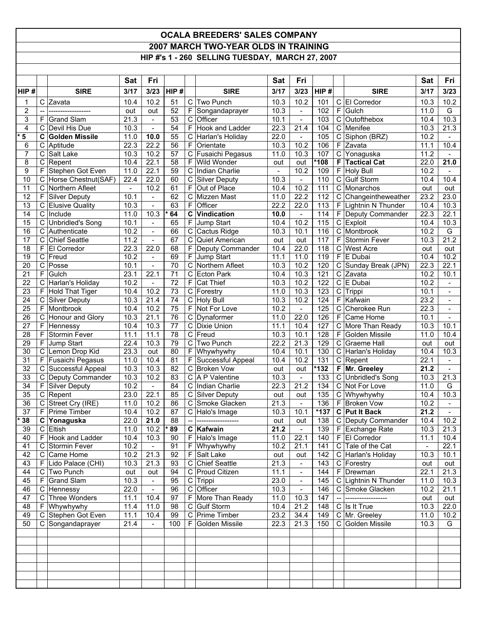## **OCALA BREEDERS' SALES COMPANY 2007 MARCH TWO-YEAR OLDS IN TRAINING HIP #'s 1 - 260 SELLING TUESDAY, MARCH 27, 2007**

|                            |                  |                                     | Sat            | Fri                              |                       |                  |                                       | <b>Sat</b>                      | Fri                       |             |                      |                                   | <b>Sat</b>   | Fri                              |
|----------------------------|------------------|-------------------------------------|----------------|----------------------------------|-----------------------|------------------|---------------------------------------|---------------------------------|---------------------------|-------------|----------------------|-----------------------------------|--------------|----------------------------------|
| HIP#                       |                  | <b>SIRE</b>                         | 3/17           | 3/23                             | HIP#                  |                  | <b>SIRE</b>                           | 3/17                            | 3/23                      | HIP#        |                      | <b>SIRE</b>                       | 3/17         | 3/23                             |
| 1                          | С                | Zavata                              | 10.4           | 10.2                             | 51                    | $\mathsf{C}$     | Two Punch                             | 10.3                            | 10.2                      | 101         | $\mathbf C$          | El Corredor                       | 10.3         | 10.2                             |
| 2                          | --               | .                                   | out            | out                              | 52                    | F                | Songandaprayer                        | 10.3                            | $\overline{\phantom{a}}$  | 102         | F                    | Gulch                             | 11.0         | G                                |
| 3                          | F                | <b>Grand Slam</b>                   | 21.3           | $\overline{a}$                   | 53                    | $\mathsf C$      | Officer                               | 10.1                            | $\overline{\phantom{m}}$  | 103         | C                    | Outofthebox                       | 10.4         | 10.3                             |
| 4                          | C                | Devil His Due                       | 10.3           | $\blacksquare$                   | 54                    | F                | Hook and Ladder                       | 22.3                            | 21.4                      | 104         | C                    | Menifee                           | 10.3         | 21.3                             |
| $\overline{\phantom{a}}$ 5 | C                | <b>Golden Missile</b>               | 11.0           | 10.0                             | 55                    | С                | Harlan's Holiday                      | 22.0                            | $\blacksquare$            | 105         | C                    | Siphon (BRZ)                      | 10.2         |                                  |
| 6                          | $\mathsf C$      | Aptitude                            | 22.3           | 22.2                             | 56                    | F                | Orientate                             | 10.3                            | 10.2                      | 106         | F                    | Zavata                            | 11.1         | 10.4                             |
| $\overline{7}$<br>8        | С<br>$\mathsf C$ | Salt Lake<br>Repent                 | 10.3<br>10.4   | 10.2<br>22.1                     | 57<br>$\overline{58}$ | C<br>F           | Fusaichi Pegasus<br>Wild Wonder       | 11.0                            | 10.3<br>out               | 107<br>*108 | $\overline{C}$<br>F. | Yonaguska<br><b>Tactical Cat</b>  | 11.2<br>22.0 | $\sim$<br>21.0                   |
| 9                          | F                | Stephen Got Even                    | 11.0           | 22.1                             | 59                    | C                | Indian Charlie                        | out<br>$\overline{\phantom{a}}$ | 10.2                      | 109         | F                    | <b>Holy Bull</b>                  | 10.2         |                                  |
| 10                         | C                | Horse Chestnut(SAF)                 | 22.4           | 22.0                             | 60                    | С                | <b>Silver Deputy</b>                  | 10.3                            | $\blacksquare$            | 110         | $\mathsf C$          | <b>Gulf Storm</b>                 | 10.4         | 10.4                             |
| 11                         |                  | C Northern Afleet                   | $\blacksquare$ | 10.2                             | 61                    | F                | Out of Place                          | 10.4                            | 10.2                      | 111         | C                    | Monarchos                         | out          | out                              |
| 12                         | F                | Silver Deputy                       | 10.1           | $\overline{\phantom{m}}$         | 62                    | C                | Mizzen Mast                           | 11.0                            | 22.2                      | 112         | С                    | Changeintheweather                | 23.2         | 23.0                             |
| 13                         | C                | <b>Elusive Quality</b>              | 10.3           | $\overline{a}$                   | 63                    | F                | Officer                               | 22.2                            | 22.0                      | 113         | F.                   | Lightnin N Thunder                | 10.4         | 10.3                             |
| 14                         | $\mathbf C$      | Include                             | 11.0           | 10.3                             | 64                    | C                | Vindication                           | 10.0                            | $\blacksquare$            | 114         |                      | F Deputy Commander                | 22.3         | 22.1                             |
| 15                         | С                | <b>Unbridled's Song</b>             | 10.1           | $\overline{\phantom{0}}$         | 65                    | F                | Jump Start                            | 10.4                            | 10.2                      | 115         | C                    | Exploit                           | 10.4         | 10.3                             |
| 16                         | C                | Authenticate                        | 10.2           | $\overline{\phantom{0}}$         | 66                    | С                | Cactus Ridge                          | 10.3                            | 10.1                      | 116         | C                    | Montbrook                         | 10.2         | G                                |
| 17                         | $\mathsf C$      | <b>Chief Seattle</b>                | 11.2           | $\overline{\phantom{a}}$         | 67                    | C                | Quiet American                        | out                             | out                       | 117         | F                    | Stormin Fever                     | 10.3         | 21.2                             |
| 18                         | F                | <b>El Corredor</b>                  | 22.3           | 22.0                             | 68                    | F                | Deputy Commander                      | 10.4                            | 22.0                      | 118         | C                    | <b>West Acre</b>                  | out          | out                              |
| 19                         |                  | C Freud                             | 10.2           | ÷,                               | 69                    | F                | Jump Start                            | 11.1                            | 11.0                      | 119         | F.                   | $E$ Dubai                         | 10.4         | 10.2                             |
| 20                         | $\mathsf C$      | Posse                               | 10.1           | $\overline{\phantom{a}}$         | 70                    | C                | Northern Afleet                       | 10.3                            | 10.2                      | 120         |                      | C Sunday Break (JPN)              | 22.3         | 22.1                             |
| 21<br>22                   | F                | Gulch                               | 23.1<br>10.2   | 22.1<br>$\overline{\phantom{0}}$ | $\overline{71}$<br>72 | C<br>F           | <b>Ecton Park</b>                     | 10.4<br>10.3                    | 10.3<br>10.2              | 121<br>122  | C<br>C               | Zavata<br>$E$ Dubai               | 10.2<br>10.2 | 10.1                             |
| $\overline{23}$            | С<br>F           | Harlan's Holiday<br>Hold That Tiger | 10.4           | 10.2                             | $\overline{73}$       | $\mathsf C$      | <b>Cat Thief</b><br>Forestry          | 11.0                            | 10.3                      | 123         | C                    | Trippi                            | 10.1         | $\blacksquare$                   |
| 24                         | C                | Silver Deputy                       | 10.3           | 21.4                             | 74                    | $\mathsf C$      | Holy Bull                             | 10.3                            | 10.2                      | 124         | F                    | Kafwain                           | 23.2         | $\overline{\phantom{a}}$         |
| 25                         | F                | Montbrook                           | 10.4           | 10.2                             | $\overline{75}$       | F                | Not For Love                          | 10.2                            | $\blacksquare$            | 125         | C                    | Cherokee Run                      | 22.3         | $\blacksquare$                   |
| $\overline{26}$            | $\mathsf C$      | Honour and Glory                    | 10.3           | 21.1                             | 76                    | С                | Dynaformer                            | 11.0                            | 22.0                      | 126         | F.                   | Came Home                         | 10.1         | $\blacksquare$                   |
| 27                         | F                | Hennessy                            | 10.4           | 10.3                             | 77                    | C                | Dixie Union                           | 11.1                            | 10.4                      | 127         |                      | C More Than Ready                 | 10.3         | 10.1                             |
| $\overline{28}$            | F                | Stormin Fever                       | 11.1           | 11.1                             | 78                    | C                | Freud                                 | 10.3                            | 10.1                      | 128         | F                    | Golden Missile                    | 11.0         | 10.4                             |
| 29                         | F                | Jump Start                          | 22.4           | 10.3                             | 79                    | C                | Two Punch                             | 22.2                            | $\overline{2}1.3$         | 129         | $\mathsf C$          | <b>Graeme Hall</b>                | out          | out                              |
| $\overline{30}$            | C                | Lemon Drop Kid                      | 23.3           | out                              | 80                    | F                | Whywhywhy                             | 10.4                            | 10.1                      | 130         |                      | C Harlan's Holiday                | 10.4         | 10.3                             |
| 31                         | F                | Fusaichi Pegasus                    | 11.0           | 10.4                             | 81                    | F                | Successful Appeal                     | 10.4                            | 10.2                      | 131         |                      | $C$ Repent                        | 22.1         | $\blacksquare$                   |
| 32                         | $\mathbf C$      | Successful Appeal                   | 10.3           | 10.3                             | 82                    | C                | <b>Broken Vow</b>                     | out                             | out                       | $*132$      |                      | F Mr. Greeley                     | 21.2         | $\mathbb{L}$                     |
| 33                         | C                | Deputy Commander                    | 10.3           | 10.2                             | 83                    | С                | A P Valentine                         | 10.3                            | $\blacksquare$            | 133         | C                    | <b>Unbridled's Song</b>           | 10.3         | 21.3                             |
| 34<br>$\overline{35}$      | F                | <b>Silver Deputy</b>                | 10.2           | $\overline{\phantom{a}}$         | 84                    | C                | Indian Charlie                        | 22.3                            | 21.2                      | 134         | C                    | Not For Love                      | 11.0         | G                                |
| 36                         | C<br>$\mathsf C$ | Repent<br>Street Cry (IRE)          | 23.0<br>11.0   | 22.1<br>10.2                     | 85<br>86              | $\mathsf C$<br>C | <b>Silver Deputy</b><br>Smoke Glacken | out<br>21.3                     | out<br>$\mathbb{L}$       | 135<br>136  | C<br>F.              | Whywhywhy<br><b>Broken Vow</b>    | 10.4<br>10.2 | 10.3<br>$\overline{\phantom{a}}$ |
| 37                         | F                | <b>Prime Timber</b>                 | 10.4           | 10.2                             | 87                    | C                | Halo's Image                          | 10.3                            | 10.1                      | $*137$      |                      | <b>C</b> Put It Back              | 21.2         |                                  |
| $\star$<br>38              |                  | $\overline{C}$ Yonaguska            | 22.0           | 21.0                             | $\overline{88}$       |                  |                                       | out                             | out                       | 138         |                      | C Deputy Commander                | 10.4         | 10.2                             |
| 39                         |                  | C Eltish                            | 11.0           | 10.2                             | $*89$                 |                  | C Kafwain                             | 21.2                            | $\blacksquare$            | 139         |                      | F Exchange Rate                   | 10.3         | 21.3                             |
| 40                         | F.               | Hook and Ladder                     | 10.4           | 10.3                             | 90                    |                  | $F$ Halo's Image                      | 11.0                            | 22.1                      | 140         |                      | F El Corredor                     | 11.1         | 10.4                             |
| 41                         |                  | C Stormin Fever                     | 10.2           | $\sim$                           | 91                    |                  | $F$ Whywhywhy                         | 10.2                            | 21.1                      | 141         |                      | C Tale of the Cat                 | $\equiv$     | 22.1                             |
| 42                         |                  | C Came Home                         | 10.2           | 21.3                             | 92                    |                  | $\overline{F}$ Salt Lake              | out                             | out                       | 142         |                      | C Harlan's Holiday                | 10.3         | 10.1                             |
| 43                         |                  | F Lido Palace (CHI)                 | 10.3           | 21.3                             | 93                    |                  | C Chief Seattle                       | 21.3                            | $\blacksquare$            | 143         |                      | C Forestry                        | out          | out                              |
| 44                         |                  | C Two Punch                         | out            | out                              | 94                    |                  | C Proud Citizen                       | 11.1                            | $\mathbb{L}^{\mathbb{N}}$ | 144         |                      | F Drewman                         | 22.1         | 21.3                             |
| 45                         |                  | F Grand Slam                        | 10.3           | $\equiv$                         | 95                    |                  | C Trippi                              | 23.0                            | $\equiv$                  | 145         |                      | C Lightnin N Thunder              | 11.0         | 10.3                             |
| 46                         |                  | C Hennessy                          | 22.0           | $\blacksquare$                   | 96                    | C                | Officer                               | 10.3                            | $\sim$                    | 146         |                      | C Smoke Glacken                   | 10.2         | 21.1                             |
| 47                         |                  | C Three Wonders                     | 11.1           | 10.4                             | 97                    | F.               | More Than Ready                       | 11.0                            | 10.3                      | 147         | $\overline{a}$       |                                   | out          | out                              |
| 48                         |                  | F Whywhywhy<br>C Stephen Got Even   | 11.4           | 11.0                             | 98                    |                  | C Gulf Storm                          | 10.4                            | 21.2                      | 148         |                      | $C$ Is It True                    | 10.3         | $\overline{2}2.0$                |
| 49<br>50                   |                  | C Songandaprayer                    | 11.1<br>21.4   | 10.4<br>$\blacksquare$           | 99<br>100             | F                | C Prime Timber<br>Golden Missile      | 23.2<br>22.3                    | 34.4<br>21.3              | 149<br>150  |                      | C Mr. Greeley<br>C Golden Missile | 11.0<br>10.3 | 10.2<br>G                        |
|                            |                  |                                     |                |                                  |                       |                  |                                       |                                 |                           |             |                      |                                   |              |                                  |
|                            |                  |                                     |                |                                  |                       |                  |                                       |                                 |                           |             |                      |                                   |              |                                  |
|                            |                  |                                     |                |                                  |                       |                  |                                       |                                 |                           |             |                      |                                   |              |                                  |
|                            |                  |                                     |                |                                  |                       |                  |                                       |                                 |                           |             |                      |                                   |              |                                  |
|                            |                  |                                     |                |                                  |                       |                  |                                       |                                 |                           |             |                      |                                   |              |                                  |
|                            |                  |                                     |                |                                  |                       |                  |                                       |                                 |                           |             |                      |                                   |              |                                  |
|                            |                  |                                     |                |                                  |                       |                  |                                       |                                 |                           |             |                      |                                   |              |                                  |